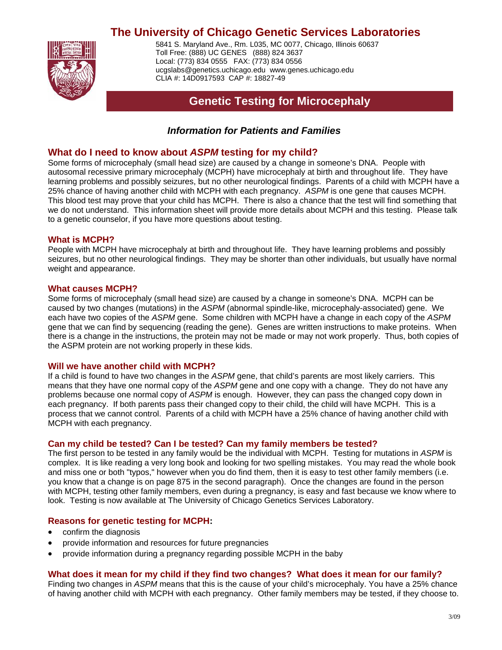# **The University of Chicago Genetic Services Laboratories**



5841 S. Maryland Ave., Rm. L035, MC 0077, Chicago, Illinois 60637 Toll Free: (888) UC GENES (888) 824 3637 Local: (773) 834 0555 FAX: (773) 834 0556 [ucgslabs@genetics.uchicago.edu](mailto:ucgslabs@genetics.uchicago.edu) [www.genes.uchicago.edu](http://www.genes.uchicago.edu/) CLIA #: 14D0917593 CAP #: 18827-49

# **Genetic Testing for Microcephaly**

# *Information for Patients and Families*

## **What do I need to know about** *ASPM* **testing for my child?**

Some forms of microcephaly (small head size) are caused by a change in someone's DNA. People with autosomal recessive primary microcephaly (MCPH) have microcephaly at birth and throughout life. They have learning problems and possibly seizures, but no other neurological findings. Parents of a child with MCPH have a 25% chance of having another child with MCPH with each pregnancy. *ASPM* is one gene that causes MCPH. This blood test may prove that your child has MCPH. There is also a chance that the test will find something that we do not understand. This information sheet will provide more details about MCPH and this testing. Please talk to a genetic counselor, if you have more questions about testing.

## **What is MCPH?**

People with MCPH have microcephaly at birth and throughout life. They have learning problems and possibly seizures, but no other neurological findings. They may be shorter than other individuals, but usually have normal weight and appearance.

#### **What causes MCPH?**

Some forms of microcephaly (small head size) are caused by a change in someone's DNA. MCPH can be caused by two changes (mutations) in the *ASPM* (abnormal spindle-like, microcephaly-associated) gene. We each have two copies of the *ASPM* gene. Some children with MCPH have a change in each copy of the *ASPM* gene that we can find by sequencing (reading the gene). Genes are written instructions to make proteins. When there is a change in the instructions, the protein may not be made or may not work properly. Thus, both copies of the ASPM protein are not working properly in these kids.

### **Will we have another child with MCPH?**

If a child is found to have two changes in the *ASPM* gene, that child's parents are most likely carriers. This means that they have one normal copy of the *ASPM* gene and one copy with a change. They do not have any problems because one normal copy of *ASPM* is enough. However, they can pass the changed copy down in each pregnancy. If both parents pass their changed copy to their child, the child will have MCPH. This is a process that we cannot control. Parents of a child with MCPH have a 25% chance of having another child with MCPH with each pregnancy.

### **Can my child be tested? Can I be tested? Can my family members be tested?**

The first person to be tested in any family would be the individual with MCPH. Testing for mutations in *ASPM* is complex. It is like reading a very long book and looking for two spelling mistakes. You may read the whole book and miss one or both "typos," however when you do find them, then it is easy to test other family members (i.e. you know that a change is on page 875 in the second paragraph). Once the changes are found in the person with MCPH, testing other family members, even during a pregnancy, is easy and fast because we know where to look. Testing is now available at The University of Chicago Genetics Services Laboratory.

### **Reasons for genetic testing for MCPH:**

- confirm the diagnosis
- provide information and resources for future pregnancies
- provide information during a pregnancy regarding possible MCPH in the baby

### **What does it mean for my child if they find two changes? What does it mean for our family?**

Finding two changes in *ASPM* means that this is the cause of your child's microcephaly. You have a 25% chance of having another child with MCPH with each pregnancy. Other family members may be tested, if they choose to.